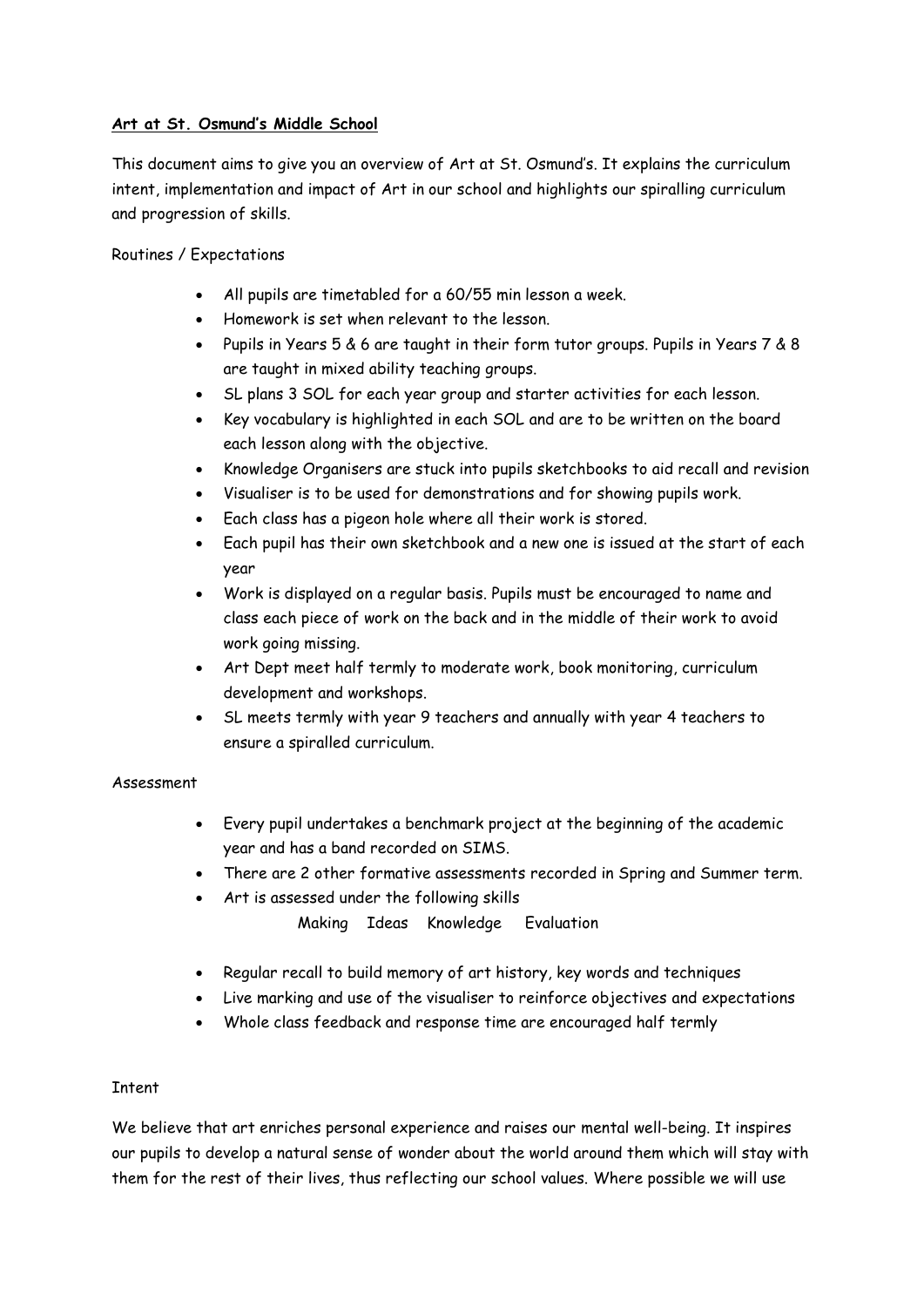# **Art at St. Osmund's Middle School**

This document aims to give you an overview of Art at St. Osmund's. It explains the curriculum intent, implementation and impact of Art in our school and highlights our spiralling curriculum and progression of skills.

Routines / Expectations

- All pupils are timetabled for a 60/55 min lesson a week.
- Homework is set when relevant to the lesson.
- Pupils in Years 5 & 6 are taught in their form tutor groups. Pupils in Years 7 & 8 are taught in mixed ability teaching groups.
- SL plans 3 SOL for each year group and starter activities for each lesson.
- Key vocabulary is highlighted in each SOL and are to be written on the board each lesson along with the objective.
- Knowledge Organisers are stuck into pupils sketchbooks to aid recall and revision
- Visualiser is to be used for demonstrations and for showing pupils work.
- Each class has a pigeon hole where all their work is stored.
- Each pupil has their own sketchbook and a new one is issued at the start of each year
- Work is displayed on a regular basis. Pupils must be encouraged to name and class each piece of work on the back and in the middle of their work to avoid work going missing.
- Art Dept meet half termly to moderate work, book monitoring, curriculum development and workshops.
- SL meets termly with year 9 teachers and annually with year 4 teachers to ensure a spiralled curriculum.

# Assessment

- Every pupil undertakes a benchmark project at the beginning of the academic year and has a band recorded on SIMS.
- There are 2 other formative assessments recorded in Spring and Summer term.
- Art is assessed under the following skills

Making Ideas Knowledge Evaluation

- Regular recall to build memory of art history, key words and techniques
- Live marking and use of the visualiser to reinforce objectives and expectations
- Whole class feedback and response time are encouraged half termly

# **Tntent**

We believe that art enriches personal experience and raises our mental well-being. It inspires our pupils to develop a natural sense of wonder about the world around them which will stay with them for the rest of their lives, thus reflecting our school values. Where possible we will use